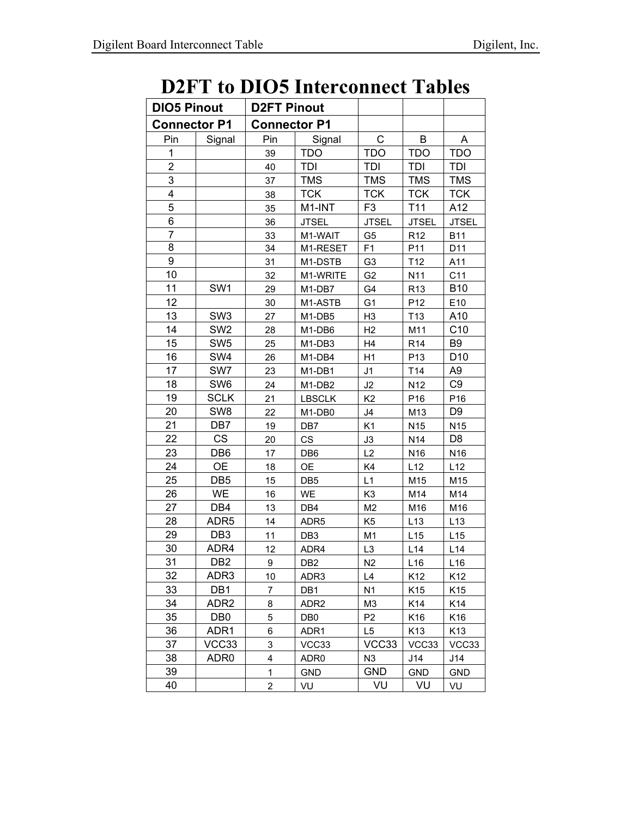## **D2FT to DIO5 Interconnect Tables**

| <b>DIO5 Pinout</b>  |                  | <b>D2FT Pinout</b>  |                  |                |                 |                 |
|---------------------|------------------|---------------------|------------------|----------------|-----------------|-----------------|
| <b>Connector P1</b> |                  | <b>Connector P1</b> |                  |                |                 |                 |
| Pin                 | Signal           | Pin                 | Signal           | C              | B               | Α               |
| 1                   |                  | 39                  | <b>TDO</b>       | <b>TDO</b>     | <b>TDO</b>      | <b>TDO</b>      |
| 2                   |                  | 40                  | TDI              | TDI            | TDI             | TDI             |
| 3                   |                  | 37                  | <b>TMS</b>       | <b>TMS</b>     | <b>TMS</b>      | <b>TMS</b>      |
| 4                   |                  | 38                  | <b>TCK</b>       | <b>TCK</b>     | <b>TCK</b>      | <b>TCK</b>      |
| 5                   |                  | 35                  | M1-INT           | F <sub>3</sub> | T <sub>11</sub> | A12             |
| 6                   |                  | 36                  | <b>JTSEL</b>     | <b>JTSEL</b>   | <b>JTSEL</b>    | <b>JTSEL</b>    |
| $\overline{7}$      |                  | 33                  | M1-WAIT          | G <sub>5</sub> | R <sub>12</sub> | <b>B11</b>      |
| 8                   |                  | 34                  | M1-RESET         | F1             | P11             | D11             |
| 9                   |                  | 31                  | M1-DSTB          | G <sub>3</sub> | T <sub>12</sub> | A11             |
| 10                  |                  | 32                  | M1-WRITE         | G <sub>2</sub> | N11             | C11             |
| 11                  | SW <sub>1</sub>  | 29                  | M1-DB7           | G4             | R <sub>13</sub> | <b>B10</b>      |
| 12                  |                  | 30                  | M1-ASTB          | G <sub>1</sub> | P12             | E10             |
| 13                  | SW <sub>3</sub>  | 27                  | M1-DB5           | H <sub>3</sub> | T13             | A10             |
| 14                  | SW <sub>2</sub>  | 28                  | M1-DB6           | H <sub>2</sub> | M11             | C10             |
| 15                  | SW <sub>5</sub>  | 25                  | M1-DB3           | H4             | R <sub>14</sub> | B <sub>9</sub>  |
| 16                  | SW4              | 26                  | M1-DB4           | H1             | P <sub>13</sub> | D <sub>10</sub> |
| 17                  | SW7              | 23                  | M1-DB1           | J1             | T14             | A <sub>9</sub>  |
| 18                  | SW6              | 24                  | M1-DB2           | J2             | N <sub>12</sub> | C <sub>9</sub>  |
| 19                  | <b>SCLK</b>      | 21                  | <b>LBSCLK</b>    | K <sub>2</sub> | P16             | P16             |
| 20                  | SW <sub>8</sub>  | 22                  | M1-DB0           | J4             | M13             | D <sub>9</sub>  |
| 21                  | DB7              | 19                  | DB7              | K <sub>1</sub> | N <sub>15</sub> | N <sub>15</sub> |
| 22                  | <b>CS</b>        | 20                  | <b>CS</b>        | J3             | N14             | D <sub>8</sub>  |
| 23                  | DB <sub>6</sub>  | 17                  | DB <sub>6</sub>  | L2             | N16             | N <sub>16</sub> |
| 24                  | <b>OE</b>        | 18                  | <b>OE</b>        | K4             | L12             | L12             |
| 25                  | DB <sub>5</sub>  | 15                  | DB <sub>5</sub>  | L1             | M15             | M15             |
| 26                  | <b>WE</b>        | 16                  | <b>WE</b>        | K <sub>3</sub> | M14             | M14             |
| 27                  | DB4              | 13                  | DB4              | M <sub>2</sub> | M16             | M16             |
| 28                  | ADR <sub>5</sub> | 14                  | ADR <sub>5</sub> | K <sub>5</sub> | L13             | L13             |
| 29                  | DB <sub>3</sub>  | 11                  | DB <sub>3</sub>  | M <sub>1</sub> | L15             | L15             |
| 30                  | ADR4             | 12                  | ADR4             | L <sub>3</sub> | L14             | L <sub>14</sub> |
| 31                  | DB <sub>2</sub>  | 9                   | DB <sub>2</sub>  | N <sub>2</sub> | L16             | L16             |
| 32                  | ADR3             | 10                  | ADR3             | L4             | K12             | K12             |
| 33                  | DB1              | 7                   | DB1              | N <sub>1</sub> | K15             | K15             |
| 34                  | ADR2             | 8                   | ADR <sub>2</sub> | M <sub>3</sub> | K14             | K14             |
| 35                  | DB <sub>0</sub>  | 5                   | DB <sub>0</sub>  | P <sub>2</sub> | K <sub>16</sub> | K16             |
| 36                  | ADR1             | 6                   | ADR1             | L5             | K13             | K13             |
| 37                  | VCC33            | 3                   | VCC33            | VCC33          | VCC33           | VCC33           |
| 38                  | ADR0             | 4                   | ADR <sub>0</sub> | N <sub>3</sub> | J14             | J14             |
| 39                  |                  | $\mathbf{1}$        | <b>GND</b>       | <b>GND</b>     | <b>GND</b>      | <b>GND</b>      |
| 40                  |                  | 2                   | VU               | VU             | VU              | VU              |